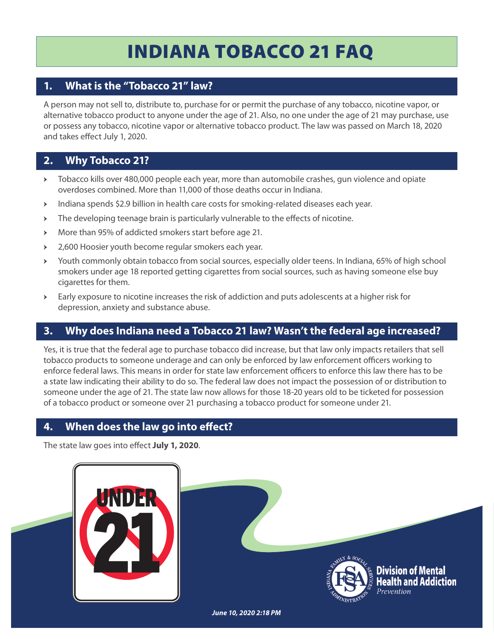# INDIANA TOBACCO 21 FAQ

# **1. What is the "Tobacco 21" law?**

A person may not sell to, distribute to, purchase for or permit the purchase of any tobacco, nicotine vapor, or alternative tobacco product to anyone under the age of 21. Also, no one under the age of 21 may purchase, use or possess any tobacco, nicotine vapor or alternative tobacco product. The law was passed on March 18, 2020 and takes effect July 1, 2020.

# **2. Why Tobacco 21?**

- Tobacco kills over 480,000 people each year, more than automobile crashes, gun violence and opiate overdoses combined. More than 11,000 of those deaths occur in Indiana.
- Indiana spends \$2.9 billion in health care costs for smoking-related diseases each year.
- $\triangleright$  The developing teenage brain is particularly vulnerable to the effects of nicotine.
- More than 95% of addicted smokers start before age 21.
- 2,600 Hoosier youth become regular smokers each year.
- Youth commonly obtain tobacco from social sources, especially older teens. In Indiana, 65% of high school smokers under age 18 reported getting cigarettes from social sources, such as having someone else buy cigarettes for them.
- Early exposure to nicotine increases the risk of addiction and puts adolescents at a higher risk for depression, anxiety and substance abuse.

# **3. Why does Indiana need a Tobacco 21 law? Wasn't the federal age increased?**

Yes, it is true that the federal age to purchase tobacco did increase, but that law only impacts retailers that sell tobacco products to someone underage and can only be enforced by law enforcement officers working to enforce federal laws. This means in order for state law enforcement officers to enforce this law there has to be a state law indicating their ability to do so. The federal law does not impact the possession of or distribution to someone under the age of 21. The state law now allows for those 18-20 years old to be ticketed for possession of a tobacco product or someone over 21 purchasing a tobacco product for someone under 21.

# **4.** When does the law go into effect?

The state law goes into effect July 1, 2020.